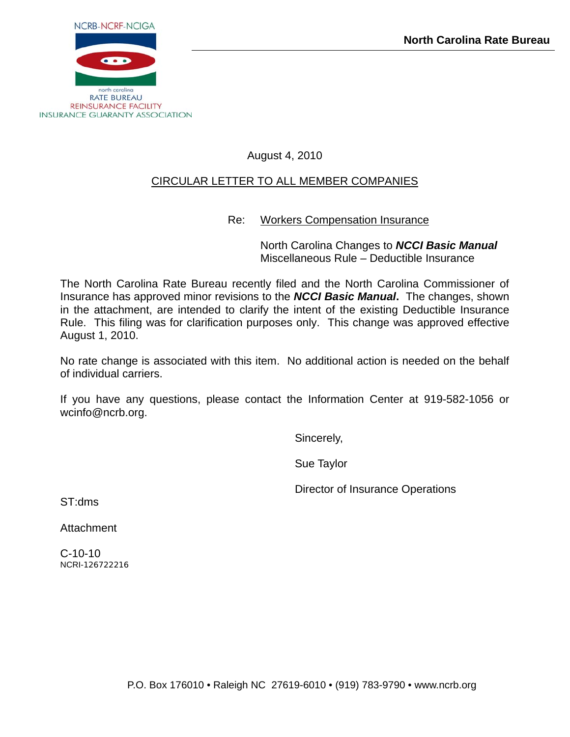

August 4, 2010

## CIRCULAR LETTER TO ALL MEMBER COMPANIES

Re: Workers Compensation Insurance

 North Carolina Changes to *NCCI Basic Manual* Miscellaneous Rule – Deductible Insurance

The North Carolina Rate Bureau recently filed and the North Carolina Commissioner of Insurance has approved minor revisions to the *NCCI Basic Manual***.** The changes, shown in the attachment, are intended to clarify the intent of the existing Deductible Insurance Rule. This filing was for clarification purposes only. This change was approved effective August 1, 2010.

No rate change is associated with this item. No additional action is needed on the behalf of individual carriers.

If you have any questions, please contact the Information Center at 919-582-1056 or wcinfo@ncrb.org.

Sincerely,

Sue Taylor

Director of Insurance Operations

ST:dms

**Attachment** 

C-10-10 NCRI-126722216